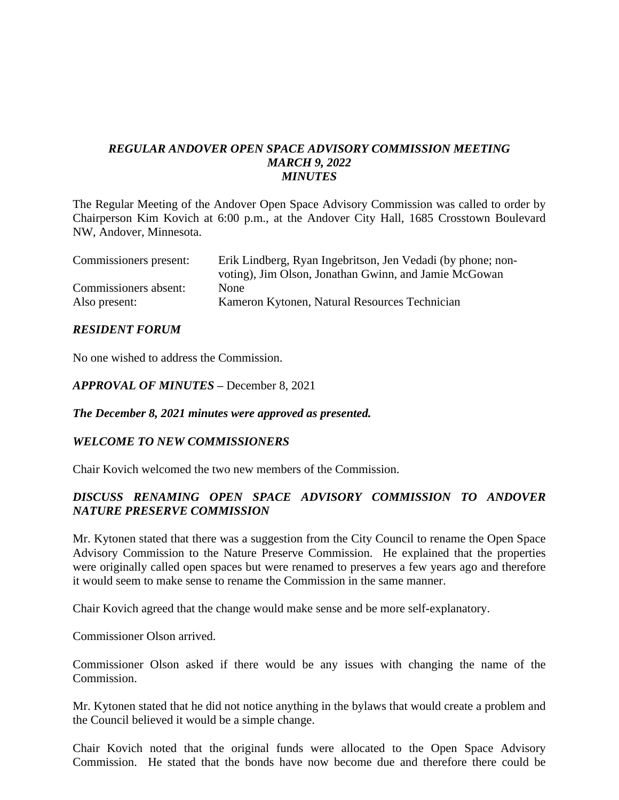#### *REGULAR ANDOVER OPEN SPACE ADVISORY COMMISSION MEETING MARCH 9, 2022 MINUTES*

The Regular Meeting of the Andover Open Space Advisory Commission was called to order by Chairperson Kim Kovich at 6:00 p.m., at the Andover City Hall, 1685 Crosstown Boulevard NW, Andover, Minnesota.

| Commissioners present: | Erik Lindberg, Ryan Ingebritson, Jen Vedadi (by phone; non- |
|------------------------|-------------------------------------------------------------|
|                        | voting), Jim Olson, Jonathan Gwinn, and Jamie McGowan       |
| Commissioners absent:  | None                                                        |
| Also present:          | Kameron Kytonen, Natural Resources Technician               |

#### *RESIDENT FORUM*

No one wished to address the Commission.

*APPROVAL OF MINUTES –* December 8, 2021

*The December 8, 2021 minutes were approved as presented.*

#### *WELCOME TO NEW COMMISSIONERS*

Chair Kovich welcomed the two new members of the Commission.

# *DISCUSS RENAMING OPEN SPACE ADVISORY COMMISSION TO ANDOVER NATURE PRESERVE COMMISSION*

Mr. Kytonen stated that there was a suggestion from the City Council to rename the Open Space Advisory Commission to the Nature Preserve Commission. He explained that the properties were originally called open spaces but were renamed to preserves a few years ago and therefore it would seem to make sense to rename the Commission in the same manner.

Chair Kovich agreed that the change would make sense and be more self-explanatory.

Commissioner Olson arrived.

Commissioner Olson asked if there would be any issues with changing the name of the Commission.

Mr. Kytonen stated that he did not notice anything in the bylaws that would create a problem and the Council believed it would be a simple change.

Chair Kovich noted that the original funds were allocated to the Open Space Advisory Commission. He stated that the bonds have now become due and therefore there could be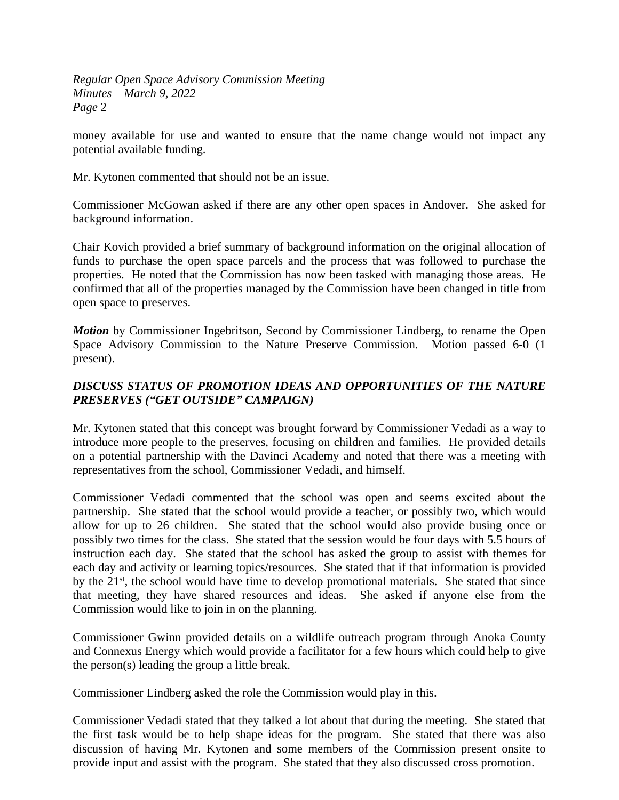money available for use and wanted to ensure that the name change would not impact any potential available funding.

Mr. Kytonen commented that should not be an issue.

Commissioner McGowan asked if there are any other open spaces in Andover. She asked for background information.

Chair Kovich provided a brief summary of background information on the original allocation of funds to purchase the open space parcels and the process that was followed to purchase the properties. He noted that the Commission has now been tasked with managing those areas. He confirmed that all of the properties managed by the Commission have been changed in title from open space to preserves.

*Motion* by Commissioner Ingebritson, Second by Commissioner Lindberg, to rename the Open Space Advisory Commission to the Nature Preserve Commission. Motion passed 6-0 (1 present).

# *DISCUSS STATUS OF PROMOTION IDEAS AND OPPORTUNITIES OF THE NATURE PRESERVES ("GET OUTSIDE" CAMPAIGN)*

Mr. Kytonen stated that this concept was brought forward by Commissioner Vedadi as a way to introduce more people to the preserves, focusing on children and families. He provided details on a potential partnership with the Davinci Academy and noted that there was a meeting with representatives from the school, Commissioner Vedadi, and himself.

Commissioner Vedadi commented that the school was open and seems excited about the partnership. She stated that the school would provide a teacher, or possibly two, which would allow for up to 26 children. She stated that the school would also provide busing once or possibly two times for the class. She stated that the session would be four days with 5.5 hours of instruction each day. She stated that the school has asked the group to assist with themes for each day and activity or learning topics/resources. She stated that if that information is provided by the 21<sup>st</sup>, the school would have time to develop promotional materials. She stated that since that meeting, they have shared resources and ideas. She asked if anyone else from the Commission would like to join in on the planning.

Commissioner Gwinn provided details on a wildlife outreach program through Anoka County and Connexus Energy which would provide a facilitator for a few hours which could help to give the person(s) leading the group a little break.

Commissioner Lindberg asked the role the Commission would play in this.

Commissioner Vedadi stated that they talked a lot about that during the meeting. She stated that the first task would be to help shape ideas for the program. She stated that there was also discussion of having Mr. Kytonen and some members of the Commission present onsite to provide input and assist with the program. She stated that they also discussed cross promotion.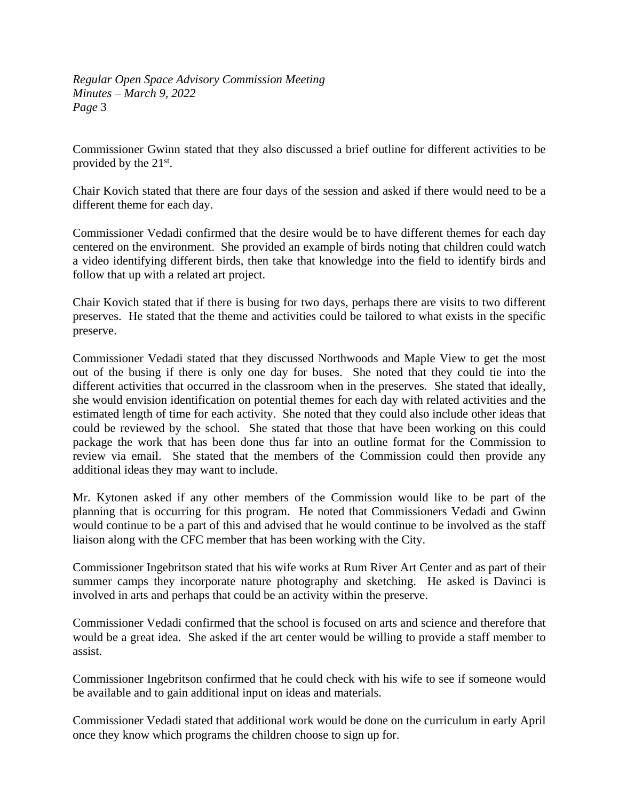Commissioner Gwinn stated that they also discussed a brief outline for different activities to be provided by the 21<sup>st</sup>.

Chair Kovich stated that there are four days of the session and asked if there would need to be a different theme for each day.

Commissioner Vedadi confirmed that the desire would be to have different themes for each day centered on the environment. She provided an example of birds noting that children could watch a video identifying different birds, then take that knowledge into the field to identify birds and follow that up with a related art project.

Chair Kovich stated that if there is busing for two days, perhaps there are visits to two different preserves. He stated that the theme and activities could be tailored to what exists in the specific preserve.

Commissioner Vedadi stated that they discussed Northwoods and Maple View to get the most out of the busing if there is only one day for buses. She noted that they could tie into the different activities that occurred in the classroom when in the preserves. She stated that ideally, she would envision identification on potential themes for each day with related activities and the estimated length of time for each activity. She noted that they could also include other ideas that could be reviewed by the school. She stated that those that have been working on this could package the work that has been done thus far into an outline format for the Commission to review via email. She stated that the members of the Commission could then provide any additional ideas they may want to include.

Mr. Kytonen asked if any other members of the Commission would like to be part of the planning that is occurring for this program. He noted that Commissioners Vedadi and Gwinn would continue to be a part of this and advised that he would continue to be involved as the staff liaison along with the CFC member that has been working with the City.

Commissioner Ingebritson stated that his wife works at Rum River Art Center and as part of their summer camps they incorporate nature photography and sketching. He asked is Davinci is involved in arts and perhaps that could be an activity within the preserve.

Commissioner Vedadi confirmed that the school is focused on arts and science and therefore that would be a great idea. She asked if the art center would be willing to provide a staff member to assist.

Commissioner Ingebritson confirmed that he could check with his wife to see if someone would be available and to gain additional input on ideas and materials.

Commissioner Vedadi stated that additional work would be done on the curriculum in early April once they know which programs the children choose to sign up for.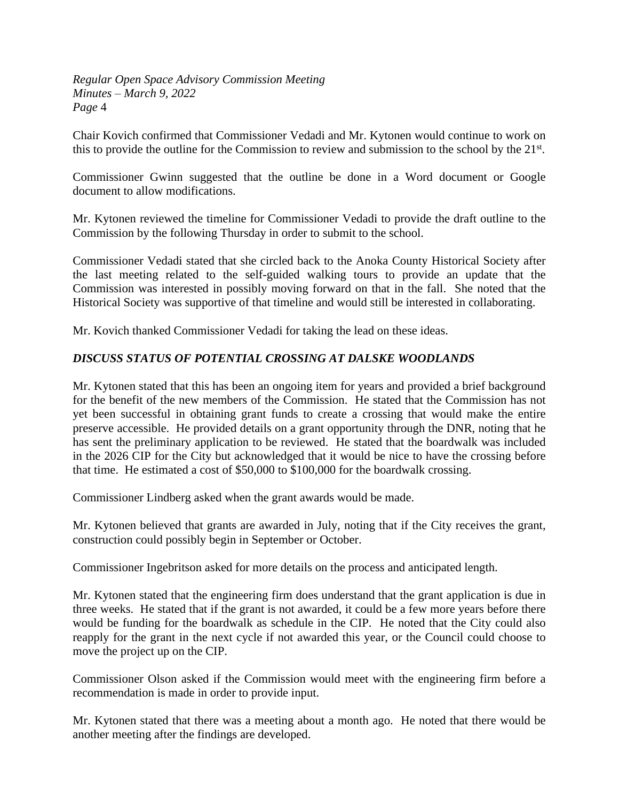Chair Kovich confirmed that Commissioner Vedadi and Mr. Kytonen would continue to work on this to provide the outline for the Commission to review and submission to the school by the 21<sup>st</sup>.

Commissioner Gwinn suggested that the outline be done in a Word document or Google document to allow modifications.

Mr. Kytonen reviewed the timeline for Commissioner Vedadi to provide the draft outline to the Commission by the following Thursday in order to submit to the school.

Commissioner Vedadi stated that she circled back to the Anoka County Historical Society after the last meeting related to the self-guided walking tours to provide an update that the Commission was interested in possibly moving forward on that in the fall. She noted that the Historical Society was supportive of that timeline and would still be interested in collaborating.

Mr. Kovich thanked Commissioner Vedadi for taking the lead on these ideas.

# *DISCUSS STATUS OF POTENTIAL CROSSING AT DALSKE WOODLANDS*

Mr. Kytonen stated that this has been an ongoing item for years and provided a brief background for the benefit of the new members of the Commission. He stated that the Commission has not yet been successful in obtaining grant funds to create a crossing that would make the entire preserve accessible. He provided details on a grant opportunity through the DNR, noting that he has sent the preliminary application to be reviewed. He stated that the boardwalk was included in the 2026 CIP for the City but acknowledged that it would be nice to have the crossing before that time. He estimated a cost of \$50,000 to \$100,000 for the boardwalk crossing.

Commissioner Lindberg asked when the grant awards would be made.

Mr. Kytonen believed that grants are awarded in July, noting that if the City receives the grant, construction could possibly begin in September or October.

Commissioner Ingebritson asked for more details on the process and anticipated length.

Mr. Kytonen stated that the engineering firm does understand that the grant application is due in three weeks. He stated that if the grant is not awarded, it could be a few more years before there would be funding for the boardwalk as schedule in the CIP. He noted that the City could also reapply for the grant in the next cycle if not awarded this year, or the Council could choose to move the project up on the CIP.

Commissioner Olson asked if the Commission would meet with the engineering firm before a recommendation is made in order to provide input.

Mr. Kytonen stated that there was a meeting about a month ago. He noted that there would be another meeting after the findings are developed.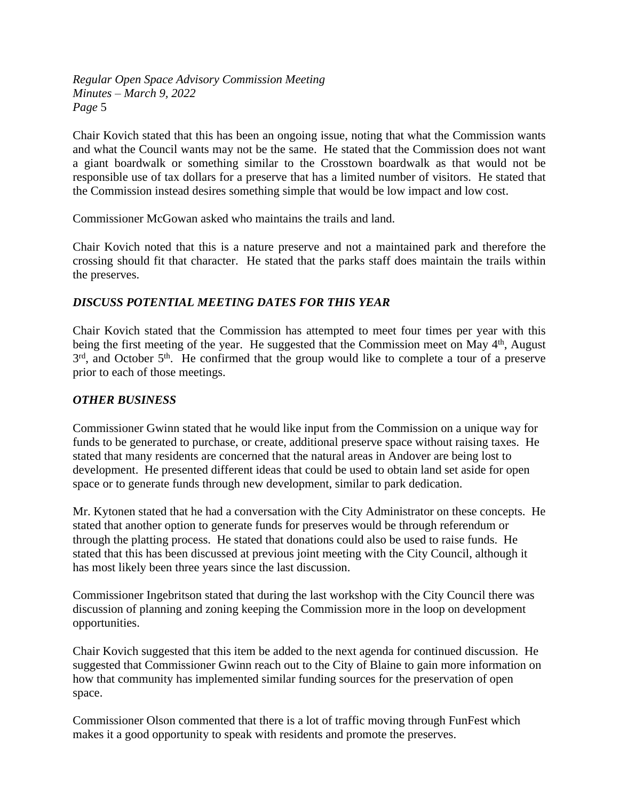Chair Kovich stated that this has been an ongoing issue, noting that what the Commission wants and what the Council wants may not be the same. He stated that the Commission does not want a giant boardwalk or something similar to the Crosstown boardwalk as that would not be responsible use of tax dollars for a preserve that has a limited number of visitors. He stated that the Commission instead desires something simple that would be low impact and low cost.

Commissioner McGowan asked who maintains the trails and land.

Chair Kovich noted that this is a nature preserve and not a maintained park and therefore the crossing should fit that character. He stated that the parks staff does maintain the trails within the preserves.

# *DISCUSS POTENTIAL MEETING DATES FOR THIS YEAR*

Chair Kovich stated that the Commission has attempted to meet four times per year with this being the first meeting of the year. He suggested that the Commission meet on May 4<sup>th</sup>, August 3<sup>rd</sup>, and October 5<sup>th</sup>. He confirmed that the group would like to complete a tour of a preserve prior to each of those meetings.

#### *OTHER BUSINESS*

Commissioner Gwinn stated that he would like input from the Commission on a unique way for funds to be generated to purchase, or create, additional preserve space without raising taxes. He stated that many residents are concerned that the natural areas in Andover are being lost to development. He presented different ideas that could be used to obtain land set aside for open space or to generate funds through new development, similar to park dedication.

Mr. Kytonen stated that he had a conversation with the City Administrator on these concepts. He stated that another option to generate funds for preserves would be through referendum or through the platting process. He stated that donations could also be used to raise funds. He stated that this has been discussed at previous joint meeting with the City Council, although it has most likely been three years since the last discussion.

Commissioner Ingebritson stated that during the last workshop with the City Council there was discussion of planning and zoning keeping the Commission more in the loop on development opportunities.

Chair Kovich suggested that this item be added to the next agenda for continued discussion. He suggested that Commissioner Gwinn reach out to the City of Blaine to gain more information on how that community has implemented similar funding sources for the preservation of open space.

Commissioner Olson commented that there is a lot of traffic moving through FunFest which makes it a good opportunity to speak with residents and promote the preserves.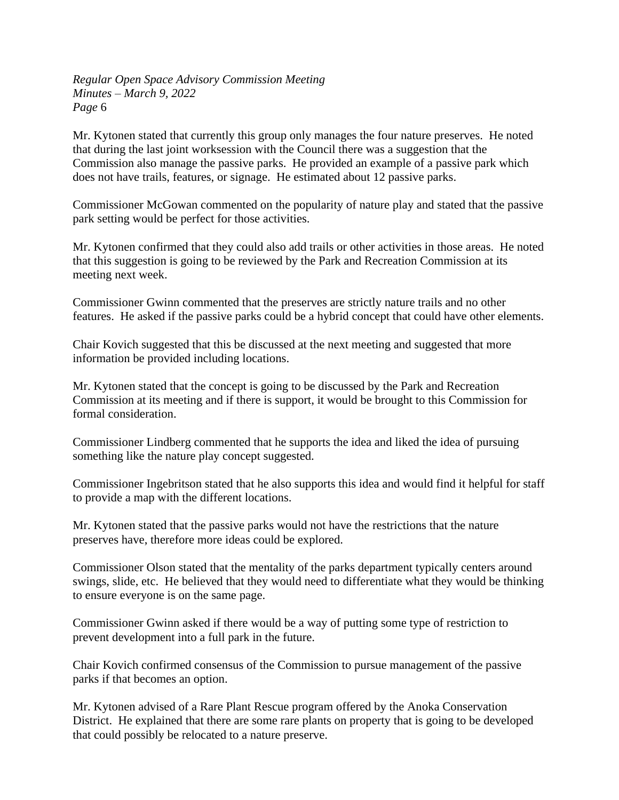Mr. Kytonen stated that currently this group only manages the four nature preserves. He noted that during the last joint worksession with the Council there was a suggestion that the Commission also manage the passive parks. He provided an example of a passive park which does not have trails, features, or signage. He estimated about 12 passive parks.

Commissioner McGowan commented on the popularity of nature play and stated that the passive park setting would be perfect for those activities.

Mr. Kytonen confirmed that they could also add trails or other activities in those areas. He noted that this suggestion is going to be reviewed by the Park and Recreation Commission at its meeting next week.

Commissioner Gwinn commented that the preserves are strictly nature trails and no other features. He asked if the passive parks could be a hybrid concept that could have other elements.

Chair Kovich suggested that this be discussed at the next meeting and suggested that more information be provided including locations.

Mr. Kytonen stated that the concept is going to be discussed by the Park and Recreation Commission at its meeting and if there is support, it would be brought to this Commission for formal consideration.

Commissioner Lindberg commented that he supports the idea and liked the idea of pursuing something like the nature play concept suggested.

Commissioner Ingebritson stated that he also supports this idea and would find it helpful for staff to provide a map with the different locations.

Mr. Kytonen stated that the passive parks would not have the restrictions that the nature preserves have, therefore more ideas could be explored.

Commissioner Olson stated that the mentality of the parks department typically centers around swings, slide, etc. He believed that they would need to differentiate what they would be thinking to ensure everyone is on the same page.

Commissioner Gwinn asked if there would be a way of putting some type of restriction to prevent development into a full park in the future.

Chair Kovich confirmed consensus of the Commission to pursue management of the passive parks if that becomes an option.

Mr. Kytonen advised of a Rare Plant Rescue program offered by the Anoka Conservation District. He explained that there are some rare plants on property that is going to be developed that could possibly be relocated to a nature preserve.